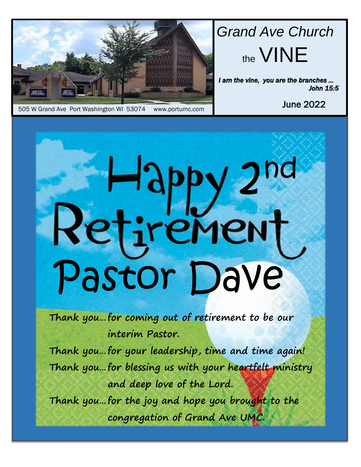

# *Grand Ave Church* the VINE

*I am the vine, you are the branches … John 15:5* 

June 2022

# 2 nd  $\sqcup$ tremer Pastor Dave

**Thank you…for coming out of retirement to be our interim Pastor.** 

**Thank you…for your leadership, time and time again! Thank you…for blessing us with your heartfelt ministry and deep love of the Lord.**

**Thank you…for the joy and hope you brought to the congregation of Grand Ave UMC.**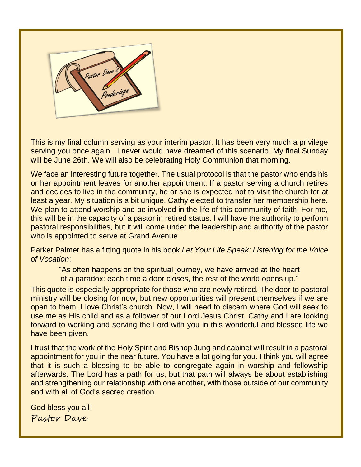

ī

serving you once again. I never would have dreamed of this scenario. My final Sunday will be June 26th. We will also be celebrating Holy Communion that morning. This is my final column serving as your interim pastor. It has been very much a privilege

We face an interesting future together. The usual protocol is that the pastor who ends his or her appointment leaves for another appointment. If a pastor serving a church retires and decides to live in the community, he or she is expected not to visit the church for at least a year. My situation is a bit unique. Cathy elected to transfer her membership here. We plan to attend worship and be involved in the life of this community of faith. For me, this will be in the capacity of a pastor in retired status. I will have the authority to perform pastoral responsibilities, but it will come under the leadership and authority of the pastor who is appointed to serve at Grand Avenue.

Parker Palmer has a fitting quote in his book *Let Your Life Speak: Listening for the Voice of Vocation*:

"As often happens on the spiritual journey, we have arrived at the heart of a paradox: each time a door closes, the rest of the world opens up."

 forward to working and serving the Lord with you in this wonderful and blessed life we This quote is especially appropriate for those who are newly retired. The door to pastoral ministry will be closing for now, but new opportunities will present themselves if we are open to them. I love Christ's church. Now, I will need to discern where God will seek to use me as His child and as a follower of our Lord Jesus Christ. Cathy and I are looking have been given.

appointment for you in the near future. Fou have a lot going for you. I think you will agree<br>that it is such a blessing to be able to congregate again in worship and fellowship afterwards. The Lord has a path for us, but that path will always be about establishing I trust that the work of the Holy Spirit and Bishop Jung and cabinet will result in a pastoral appointment for you in the near future. You have a lot going for you. I think you will agree and strengthening our relationship with one another, with those outside of our community and with all of God's sacred creation.

God bless you all! Pastor Dave

l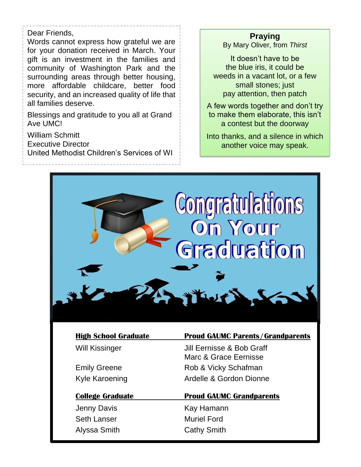## Dear Friends,

 Words cannot express how grateful we are for your donation received in March. Your gift is an investment in the families and community of Washington Park and the surrounding areas through better housing, more affordable childcare, better food security, and an increased quality of life that all families deserve.

Blessings and gratitude to you all at Grand Ave UMC!

William Schmitt

Executive Director

United Methodist Children's Services of WI

#### **Praying**

By Mary Oliver, from *Thirst*

It doesn't have to be the blue iris, it could be weeds in a vacant lot, or a few small stones; just pay attention, then patch

A few words together and don't try to make them elaborate, this isn't a contest but the doorway

Into thanks, and a silence in which another voice may speak.



Seth Lanser Muriel Ford Alyssa Smith Cathy Smith

**High School Graduate Proud GAUMC Parents/Grandparents**

Will Kissinger **Jill Eernisse & Bob Graff** Marc & Grace Eernisse Emily Greene **Rob & Vicky Schafman** Kyle Karoening **Ardelle & Gordon Dionne** 

**College Graduate Proud GAUMC Grandparents** Jenny Davis **Kay Hamann**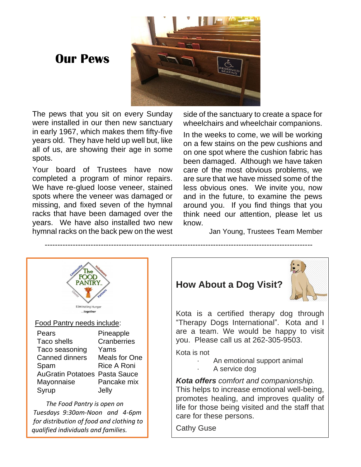# **Our Pews**



The pews that you sit on every Sunday were installed in our then new sanctuary in early 1967, which makes them fifty-five years old. They have held up well but, like all of us, are showing their age in some spots.

Your board of Trustees have now completed a program of minor repairs. We have re-glued loose veneer, stained spots where the veneer was damaged or missing, and fixed seven of the hymnal racks that have been damaged over the years. We have also installed two new hymnal racks on the back pew on the west

side of the sanctuary to create a space for wheelchairs and wheelchair companions.

In the weeks to come, we will be working on a few stains on the pew cushions and on one spot where the cushion fabric has been damaged. Although we have taken care of the most obvious problems, we are sure that we have missed some of the less obvious ones. We invite you, now and in the future, to examine the pews around you. If you find things that you think need our attention, please let us know.

Jan Young, Trustees Team Member



## **How About a Dog Visit?**



Kota is a certified therapy dog through "Therapy Dogs International". Kota and I are a team. We would be happy to visit you. Please call us at 262-305-9503.

Kota is not

- An emotional support animal
- A service dog

*Kota offers comfort and companionship.*

This helps to increase emotional well-being, promotes healing, and improves quality of life for those being visited and the staff that care for these persons.

Cathy Guse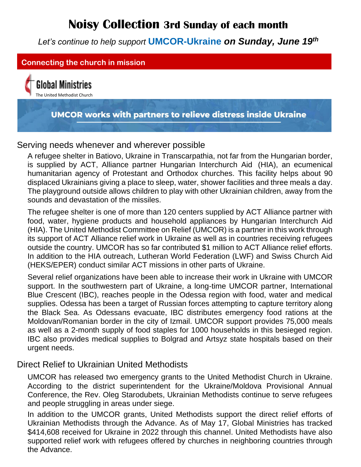# **Noisy Collection 3rd Sunday of each month**

*Let's continue to help support* **UMCOR-Ukraine** *on Sunday, June 19th*



#### Serving needs whenever and wherever possible

A refugee shelter in Batiovo, Ukraine in Transcarpathia, not far from the Hungarian border, is supplied by ACT, Alliance partner Hungarian Interchurch Aid (HIA), an ecumenical humanitarian agency of Protestant and Orthodox churches. This facility helps about 90 displaced Ukrainians giving a place to sleep, water, shower facilities and three meals a day. The playground outside allows children to play with other Ukrainian children, away from the sounds and devastation of the missiles.

The refugee shelter is one of more than 120 centers supplied by ACT Alliance partner with food, water, hygiene products and household appliances by Hungarian Interchurch Aid (HIA). The United Methodist Committee on Relief (UMCOR) is a partner in this work through its support of ACT Alliance relief work in Ukraine as well as in countries receiving refugees outside the country. UMCOR has so far contributed \$1 million to ACT Alliance relief efforts. In addition to the HIA outreach, Lutheran World Federation (LWF) and Swiss Church Aid (HEKS/EPER) conduct similar ACT missions in other parts of Ukraine.

Several relief organizations have been able to increase their work in Ukraine with UMCOR support. In the southwestern part of Ukraine, a long-time UMCOR partner, International Blue Crescent (IBC), reaches people in the Odessa region with food, water and medical supplies. Odessa has been a target of Russian forces attempting to capture territory along the Black Sea. As Odessans evacuate, IBC distributes emergency food rations at the Moldovan/Romanian border in the city of Izmail. UMCOR support provides 75,000 meals as well as a 2-month supply of food staples for 1000 households in this besieged region. IBC also provides medical supplies to Bolgrad and Artsyz state hospitals based on their urgent needs.

Direct Relief to Ukrainian United Methodists

UMCOR has released two emergency grants to the United Methodist Church in Ukraine. According to the district superintendent for the Ukraine/Moldova Provisional Annual Conference, the Rev. Oleg Starodubets, Ukrainian Methodists continue to serve refugees and people struggling in areas under siege.

In addition to the UMCOR grants, United Methodists support the direct relief efforts of Ukrainian Methodists through the Advance. As of May 17, Global Ministries has tracked \$414,608 received for Ukraine in 2022 through this channel. United Methodists have also supported relief work with refugees offered by churches in neighboring countries through the Advance.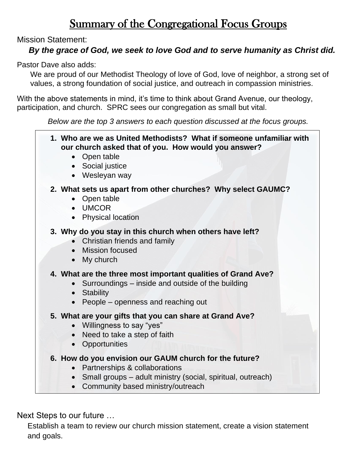## Summary of the Congregational Focus Groups

Mission Statement:

## *By the grace of God, we seek to love God and to serve humanity as Christ did.*

Pastor Dave also adds:

We are proud of our Methodist Theology of love of God, love of neighbor, a strong set of values, a strong foundation of social justice, and outreach in compassion ministries.

With the above statements in mind, it's time to think about Grand Avenue, our theology, participation, and church. SPRC sees our congregation as small but vital.

*Below are the top 3 answers to each question discussed at the focus groups.*

 **1. Who are we as United Methodists? What if someone unfamiliar with our church asked that of you. How would you answer?** • Open table • Social justice • Wesleyan way **2. What sets us apart from other churches? Why select GAUMC?** • Open table • UMCOR • Physical location **3. Why do you stay in this church when others have left?** • Christian friends and family • Mission focused • My church **4. What are the three most important qualities of Grand Ave?** • Surroundings – inside and outside of the building • Stability • People – openness and reaching out **5. What are your gifts that you can share at Grand Ave?** • Willingness to say "yes" • Need to take a step of faith • Opportunities **6. How do you envision our GAUM church for the future?** • Partnerships & collaborations • Small groups – adult ministry (social, spiritual, outreach) • Community based ministry/outreach

Next Steps to our future …

 Establish a team to review our church mission statement, create a vision statement and goals.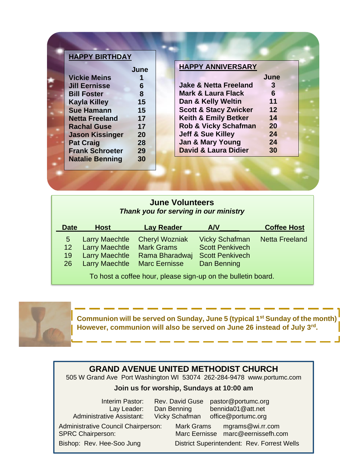| <b>HAPPY BIRTHDAY</b>  |      |                                  |      |  |
|------------------------|------|----------------------------------|------|--|
|                        | June | <b>HAPPY ANNIVERSARY</b>         |      |  |
| <b>Vickie Meins</b>    |      |                                  | June |  |
| <b>Jill Eernisse</b>   | 6    | <b>Jake &amp; Netta Freeland</b> | 3    |  |
| <b>Bill Foster</b>     | 8    | <b>Mark &amp; Laura Flack</b>    | 6    |  |
| <b>Kayla Killey</b>    | 15   | Dan & Kelly Weltin               | 11   |  |
| <b>Sue Hamann</b>      | 15   | <b>Scott &amp; Stacy Zwicker</b> | 12   |  |
| <b>Netta Freeland</b>  | 17   | <b>Keith &amp; Emily Betker</b>  | 14   |  |
| <b>Rachal Guse</b>     | 17   | <b>Rob &amp; Vicky Schafman</b>  | 20   |  |
| <b>Jason Kissinger</b> | 20   | <b>Jeff &amp; Sue Killey</b>     | 24   |  |
| <b>Pat Craig</b>       | 28   | <b>Jan &amp; Mary Young</b>      | 24   |  |
| <b>Frank Schroeter</b> | 29   | <b>David &amp; Laura Didier</b>  | 30   |  |
| <b>Natalie Benning</b> | 30   |                                  |      |  |

#### **June Volunteers** *Thank you for serving in our ministry*

| <b>Date</b> | <b>Lay Reader</b><br><b>Host</b> |                                                              | AVV                    | <b>Coffee Host</b>    |  |  |
|-------------|----------------------------------|--------------------------------------------------------------|------------------------|-----------------------|--|--|
| 5           | <b>Larry Maechtle</b>            | <b>Cheryl Wozniak</b>                                        | <b>Vicky Schafman</b>  | <b>Netta Freeland</b> |  |  |
| 12          | <b>Larry Maechtle</b>            | <b>Mark Grams</b>                                            | <b>Scott Penkivech</b> |                       |  |  |
| 19          | <b>Larry Maechtle</b>            | Rama Bharadwaj                                               | <b>Scott Penkivech</b> |                       |  |  |
| 26          | <b>Larry Maechtle</b>            | <b>Marc Eernisse</b>                                         | Dan Benning            |                       |  |  |
|             |                                  | To host a coffee hour, please sign-up on the bulletin board. |                        |                       |  |  |

**Communion will be served on Sunday, June 5 (typical 1st Sunday of the month) However, communion will also be served on June 26 instead of July 3rd .**

## **GRAND AVENUE UNITED METHODIST CHURCH**

505 W Grand Ave Port Washington WI 53074 262-284-9478 [www.portumc.com](http://www.portumc.com/)

#### **Join us for worship, Sundays at 10:00 am**

Administrative Assistant: Vicky Schafman [office@portumc.org](mailto:office@portumc.org)

Interim Pastor: Rev. David Guse [pastor@portumc.org](mailto:pastor@portumc.org)<br>Lay Leader: Dan Benning bennida01@att.net Lay Leader: Dan Benning bennida01@att.net

Administrative Council Chairperson: Mark Grams mgrams@wi.rr.com

SPRC Chairperson: Marc Eernisse [marc@eernissefh.com](mailto:marc@eernissefh.com) Bishop: Rev. Hee-Soo Jung District Superintendent: Rev. Forrest Wells